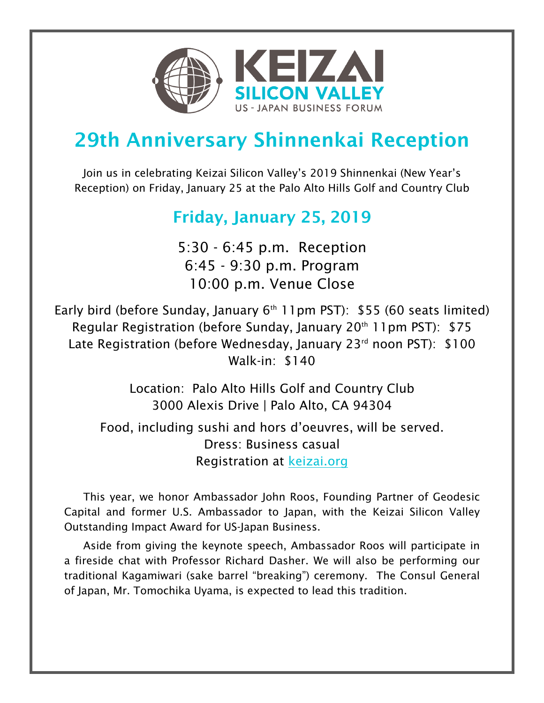

## 29th Anniversary Shinnenkai Reception

Join us in celebrating Keizai Silicon Valley's 2019 Shinnenkai (New Year's Reception) on Friday, January 25 at the Palo Alto Hills Golf and Country Club

## Friday, January 25, 2019

5:30 - 6:45 p.m. Reception 6:45 - 9:30 p.m. Program 10:00 p.m. Venue Close

Early bird (before Sunday, January  $6<sup>th</sup>$  11pm PST): \$55 (60 seats limited) Regular Registration (before Sunday, January 20<sup>th</sup> 11pm PST):  $$75$ Late Registration (before Wednesday, January 23rd noon PST): \$100 Walk-in: \$140

> Location: Palo Alto Hills Golf and Country Club 3000 Alexis Drive | Palo Alto, CA 94304

Food, including sushi and hors d'oeuvres, will be served. Dress: Business casual Registration at keizai.org

This year, we honor Ambassador John Roos, Founding Partner of Geodesic Capital and former U.S. Ambassador to Japan, with the Keizai Silicon Valley Outstanding Impact Award for US-Japan Business.

Aside from giving the keynote speech, Ambassador Roos will participate in a fireside chat with Professor Richard Dasher. We will also be performing our traditional Kagamiwari (sake barrel "breaking") ceremony. The Consul General of Japan, Mr. Tomochika Uyama, is expected to lead this tradition.